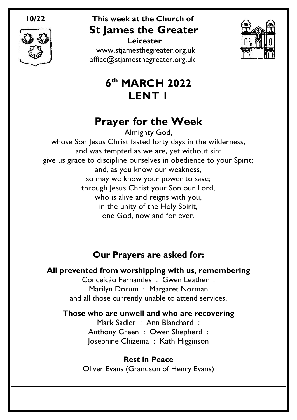

 **Leicester** [www.stjamesthegreater.org.uk](http://www.stjamesthegreater.org.uk/) [office@stjamesthegreater.org.uk](mailto:office@stjamesthegreater.org.uk)



# **6 th MARCH 2022 LENT 1**

# **Prayer for the Week**

Almighty God, whose Son Jesus Christ fasted forty days in the wilderness, and was tempted as we are, yet without sin: give us grace to discipline ourselves in obedience to your Spirit; and, as you know our weakness, so may we know your power to save; through Jesus Christ your Son our Lord, who is alive and reigns with you, in the unity of the Holy Spirit, one God, now and for ever.

# **Our Prayers are asked for:**

**All prevented from worshipping with us, remembering**

Conceicáo Fernandes : Gwen Leather : Marilyn Dorum : Margaret Norman and all those currently unable to attend services.

## **Those who are unwell and who are recovering**

Mark Sadler : Ann Blanchard : Anthony Green : Owen Shepherd : Josephine Chizema : Kath Higginson

**Rest in Peace** Oliver Evans (Grandson of Henry Evans)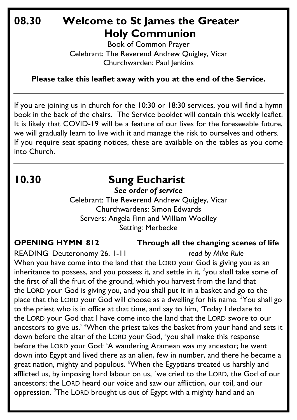# **08.30 Welcome to St James the Greater Holy Communion**

Book of Common Prayer Celebrant: The Reverend Andrew Quigley, Vicar Churchwarden: Paul Jenkins

**Please take this leaflet away with you at the end of the Service.**

If you are joining us in church for the 10:30 or 18:30 services, you will find a hymn book in the back of the chairs. The Service booklet will contain this weekly leaflet. It is likely that COVID-19 will be a feature of our lives for the foreseeable future, we will gradually learn to live with it and manage the risk to ourselves and others. If you require seat spacing notices, these are available on the tables as you come into Church.

# **10.30 Sung Eucharist**

*See order of service*

Celebrant: The Reverend Andrew Quigley, Vicar Churchwardens: Simon Edwards Servers: Angela Finn and William Woolley Setting: Merbecke

**OPENING HYMN 812 Through all the changing scenes of life** 

READING Deuteronomy 26. 1-11 *read by Mike Rule*

When you have come into the land that the LORD your God is giving you as an inheritance to possess, and you possess it, and settle in it,  $\frac{2}{3}$ you shall take some of the first of all the fruit of the ground, which you harvest from the land that the LORD your God is giving you, and you shall put it in a basket and go to the place that the LORD your God will choose as a dwelling for his name. <sup>3</sup>You shall go to the priest who is in office at that time, and say to him, 'Today I declare to the LORD your God that I have come into the land that the LORD swore to our ancestors to give us.' <sup>4</sup>When the priest takes the basket from your hand and sets it down before the altar of the LORD your God, <sup>5</sup>you shall make this response before the LORD your God: 'A wandering Aramean was my ancestor; he went down into Egypt and lived there as an alien, few in number, and there he became a great nation, mighty and populous. <sup>6</sup>When the Egyptians treated us harshly and afflicted us, by imposing hard labour on us, <sup>7</sup>we cried to the LORD, the God of our ancestors; the LORD heard our voice and saw our affliction, our toil, and our oppression. <sup>8</sup>The LORD brought us out of Egypt with a mighty hand and an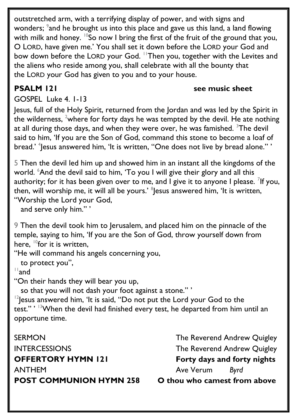outstretched arm, with a terrifying display of power, and with signs and wonders; <sup>9</sup>and he brought us into this place and gave us this land, a land flowing with milk and honey.  $10$ So now I bring the first of the fruit of the ground that you, O LORD, have given me.' You shall set it down before the LORD your God and bow down before the LORD your God. <sup>11</sup>Then you, together with the Levites and the aliens who reside among you, shall celebrate with all the bounty that the LORD your God has given to you and to your house.

## **PSALM** 121 see music sheet

GOSPEL Luke 4. 1-13

Jesus, full of the Holy Spirit, returned from the Jordan and was led by the Spirit in the wilderness, <sup>2</sup>where for forty days he was tempted by the devil. He ate nothing at all during those days, and when they were over, he was famished. <sup>3</sup>The devil said to him, 'If you are the Son of God, command this stone to become a loaf of bread.' <sup>4</sup>Jesus answered him, 'It is written, ''One does not live by bread alone.'' '

5 Then the devil led him up and showed him in an instant all the kingdoms of the world. <sup>6</sup>And the devil said to him, 'To you I will give their glory and all this authority; for it has been given over to me, and I give it to anyone I please.  $^7$ If you, then, will worship me, it will all be yours.'  $^{\text{\tiny{8}}}$ Jesus answered him, 'It is written, "Worship the Lord your God,

and serve only him." '

9 Then the devil took him to Jerusalem, and placed him on the pinnacle of the temple, saying to him, 'If you are the Son of God, throw yourself down from here,  $^{10}$ for it is written.

"He will command his angels concerning you,

to protect you",

 $11$ and

"On their hands they will bear you up,

so that you will not dash your foot against a stone." '

 $12$  esus answered him, 'It is said, "Do not put the Lord your God to the test." ' <sup>13</sup>When the devil had finished every test, he departed from him until an opportune time.

SERMON GERMON The Reverend Andrew Quigley INTERCESSIONS The Reverend Andrew Quigley **OFFERTORY HYMN 121 Forty days and forty nights**  ANTHEMAve Verum *Byrd* **POST COMMUNION HYMN 258 O thou who camest from above**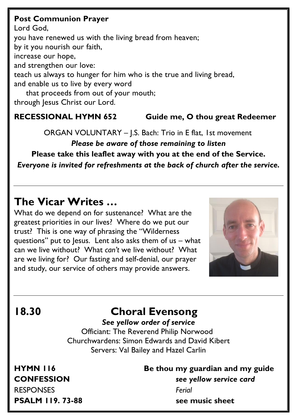### **Post Communion Prayer**

Lord God, you have renewed us with the living bread from heaven; by it you nourish our faith, increase our hope, and strengthen our love: teach us always to hunger for him who is the true and living bread, and enable us to live by every word that proceeds from out of your mouth; through Jesus Christ our Lord.

## **RECESSIONAL HYMN 652 Guide me, O thou great Redeemer**

ORGAN VOLUNTARY – J.S. Bach: Trio in E flat, 1st movement

*Please be aware of those remaining to listen* **Please take this leaflet away with you at the end of the Service.**  *Everyone is invited for refreshments at the back of church after the service.*

# **The Vicar Writes …**

What do we depend on for sustenance? What are the greatest priorities in our lives? Where do we put our trust? This is one way of phrasing the "Wilderness questions" put to Jesus. Lent also asks them of us – what can we live without? What *can't* we live without? What are we living for? Our fasting and self-denial, our prayer and study, our service of others may provide answers.



# **18.30 Choral Evensong**

### *See yellow order of service*

 Officiant: The Reverend Philip Norwood Churchwardens: Simon Edwards and David Kibert Servers: Val Bailey and Hazel Carlin

RESPONSES *Ferial*

# **HYMN 116 Be thou my guardian and my guide CONFESSION** *see yellow service card* **PSALM** 119. 73-88 see music sheet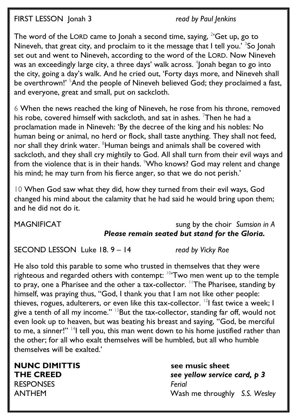FIRST LESSON Jonah 3 *read by Paul Jenkins*

The word of the LORD came to Jonah a second time, saying,  $^{2}$  Get up, go to Nineveh, that great city, and proclaim to it the message that I tell you.' <sup>3</sup>So Jonah set out and went to Nineveh, according to the word of the LORD. Now Nineveh was an exceedingly large city, a three days' walk across.  $^4$ Jonah began to go into the city, going a day's walk. And he cried out, 'Forty days more, and Nineveh shall be overthrown!' <sup>5</sup>And the people of Nineveh believed God; they proclaimed a fast, and everyone, great and small, put on sackcloth.

6 When the news reached the king of Nineveh, he rose from his throne, removed his robe, covered himself with sackcloth, and sat in ashes.  $\frac{7}{1}$ Then he had a proclamation made in Nineveh: 'By the decree of the king and his nobles: No human being or animal, no herd or flock, shall taste anything. They shall not feed, nor shall they drink water. <sup>8</sup>Human beings and animals shall be covered with sackcloth, and they shall cry mightily to God. All shall turn from their evil ways and from the violence that is in their hands.  $\sqrt[9]{v}$  Who knows? God may relent and change his mind; he may turn from his fierce anger, so that we do not perish.'

10 When God saw what they did, how they turned from their evil ways, God changed his mind about the calamity that he had said he would bring upon them; and he did not do it.

## MAGNIFICAT sung by the choir *Sumsion in A Please remain seated but stand for the Gloria.*

SECOND LESSON Luke 18. 9 – 14 *read by Vicky Roe*

He also told this parable to some who trusted in themselves that they were righteous and regarded others with contempt: <sup>10</sup>'Two men went up to the temple to pray, one a Pharisee and the other a tax-collector. <sup>11</sup>The Pharisee, standing by himself, was praying thus, "God, I thank you that I am not like other people: thieves, rogues, adulterers, or even like this tax-collector.  $^{12}$  fast twice a week; I give a tenth of all my income." <sup>13</sup>But the tax-collector, standing far off, would not even look up to heaven, but was beating his breast and saying, "God, be merciful to me, a sinner!" <sup>14</sup>I tell you, this man went down to his home justified rather than the other; for all who exalt themselves will be humbled, but all who humble themselves will be exalted.'

**NUNC DIMITTIS see music sheet** RESPONSES *Ferial* 

**THE CREED** *see yellow service card, p 3* ANTHEM Wash me throughly *S.S. Wesley*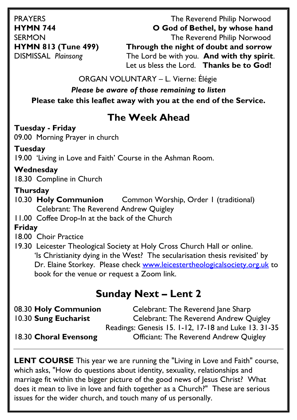PRAYERS The Reverend Philip Norwood **HYMN 744 O God of Bethel, by whose hand** SERMON **The Reverend Philip Norwood HYMN 813 (Tune 499) Through the night of doubt and sorrow** DISMISSAL *Plainsong* The Lord be with you. **And with thy spirit**. Let us bless the Lord. **Thanks be to God!**

ORGAN VOLUNTARY – L. Vierne: Élégie

*Please be aware of those remaining to listen* **Please take this leaflet away with you at the end of the Service.** 

# **The Week Ahead**

## **Tuesday - Friday**

09.00 Morning Prayer in church

## **Tuesday**

19.00 'Living in Love and Faith' Course in the Ashman Room.

## **Wednesday**

18.30 Compline in Church

## **Thursday**

- 10.30 **Holy Communion** Common Worship, Order 1 (traditional) Celebrant: The Reverend Andrew Quigley
- 11.00 Coffee Drop-In at the back of the Church

## **Friday**

18.00 Choir Practice

19.30 Leicester Theological Society at Holy Cross Church Hall or online. 'Is Christianity dying in the West? The secularisation thesis revisited' by Dr. Elaine Storkey. Please check [www.leicestertheologicalsociety.org.uk](http://www.leicestertheologicalsociety.org.uk/) to book for the venue or request a Zoom link.

# **Sunday Next – Lent 2**

08.30 **Holy Communion** Celebrant: The Reverend Jane Sharp 10.30 **Sung Eucharist** Celebrant: The Reverend Andrew Quigley Readings: Genesis 15. 1-12, 17-18 and Luke 13. 31-35 18.30 **Choral Evensong** Officiant: The Reverend Andrew Quigley

**LENT COURSE** This year we are running the "Living in Love and Faith" course, which asks, "How do questions about identity, sexuality, relationships and marriage fit within the bigger picture of the good news of Jesus Christ? What does it mean to live in love and faith together as a Church?" These are serious issues for the wider church, and touch many of us personally.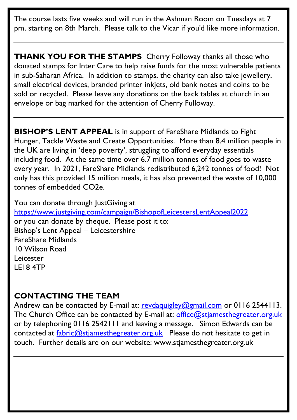The course lasts five weeks and will run in the Ashman Room on Tuesdays at 7 pm, starting on 8th March. Please talk to the Vicar if you'd like more information.

**THANK YOU FOR THE STAMPS** Cherry Followay thanks all those who donated stamps for Inter Care to help raise funds for the most vulnerable patients in sub-Saharan Africa. In addition to stamps, the charity can also take jewellery, small electrical devices, branded printer inkjets, old bank notes and coins to be sold or recycled. Please leave any donations on the back tables at church in an envelope or bag marked for the attention of Cherry Fulloway.

**BISHOP'S LENT APPEAL** is in support of FareShare Midlands to Fight Hunger, Tackle Waste and Create Opportunities. More than 8.4 million people in the UK are living in 'deep poverty', struggling to afford everyday essentials including food. At the same time over 6.7 million tonnes of food goes to waste every year. In 2021, FareShare Midlands redistributed 6,242 tonnes of food! Not only has this provided 15 million meals, it has also prevented the waste of 10,000 tonnes of embedded CO2e.

You can donate through JustGiving at <https://www.justgiving.com/campaign/BishopofLeicestersLentAppeal2022> or you can donate by cheque. Please post it to: Bishop's Lent Appeal – Leicestershire FareShare Midlands 10 Wilson Road Leicester LE18 4TP

## **CONTACTING THE TEAM**

Andrew can be contacted by E-mail at: [revdaquigley@gmail.com](mailto:revdaquigley@gmail.com) or 0116 2544113. The Church Office can be contacted by E-mail at: [office@stjamesthegreater.org.uk](mailto:office@stjamesthegreater.org.uk) or by telephoning 0116 2542111 and leaving a message. Simon Edwards can be contacted at  $fabric@stiamesthegreater.org.uk$  Please do not hesitate to get in touch. Further details are on our website: www.stjamesthegreater.org.uk